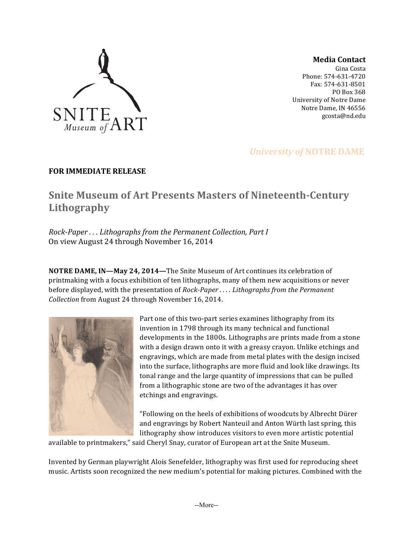

**Media Contact**

Gina Costa Phone: 574-631-4720 Fax: 574-631-8501 PO Box 368 University of Notre Dame Notre Dame, IN 46556 gcosta@nd.edu

## *University of NOTRE DAME*

### **FOR IMMEDIATE RELEASE**

# **Snite Museum of Art Presents Masters of Nineteenth-Century Lithography**

*Rock-Paper* ... Lithographs from the Permanent Collection, Part I On view August 24 through November 16, 2014

**NOTRE DAME, IN—May 24, 2014—The Snite Museum of Art continues its celebration of** printmaking with a focus exhibition of ten lithographs, many of them new acquisitions or never before displayed, with the presentation of *Rock-Paper ....* Lithographs from the Permanent *Collection* from August 24 through November 16, 2014.



Part one of this two-part series examines lithography from its invention in 1798 through its many technical and functional developments in the 1800s. Lithographs are prints made from a stone with a design drawn onto it with a greasy crayon. Unlike etchings and engravings, which are made from metal plates with the design incised into the surface, lithographs are more fluid and look like drawings. Its tonal range and the large quantity of impressions that can be pulled from a lithographic stone are two of the advantages it has over etchings and engravings.

"Following on the heels of exhibitions of woodcuts by Albrecht Dürer and engravings by Robert Nanteuil and Anton Würth last spring, this lithography show introduces visitors to even more artistic potential

available to printmakers," said Cheryl Snay, curator of European art at the Snite Museum.

Invented by German playwright Alois Senefelder, lithography was first used for reproducing sheet music. Artists soon recognized the new medium's potential for making pictures. Combined with the